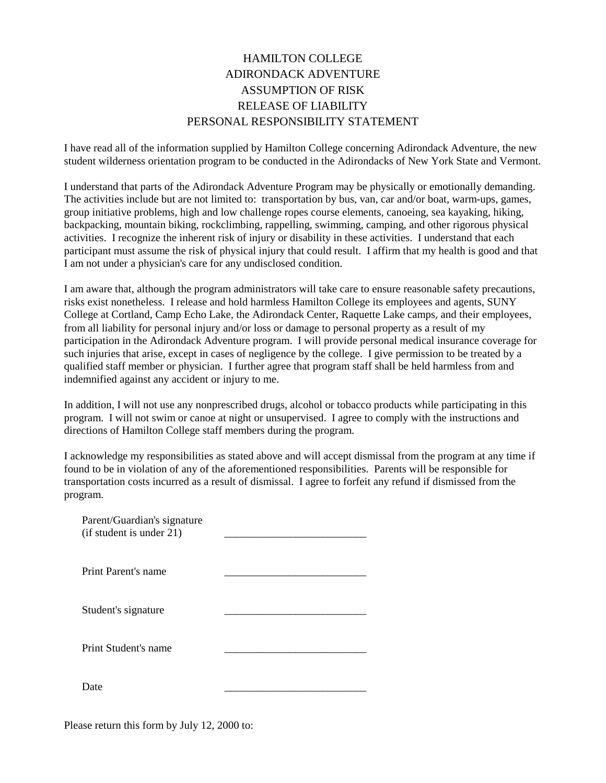## HAMILTON COLLEGE ADIRONDACK ADVENTURE ASSUMPTION OF RISK RELEASE OF LIABILITY PERSONAL RESPONSIBILITY STATEMENT

I have read all of the information supplied by Hamilton College concerning Adirondack Adventure, the new student wilderness orientation program to be conducted in the Adirondacks of New York State and Vermont.

I understand that parts of the Adirondack Adventure Program may be physically or emotionally demanding. The activities include but are not limited to: transportation by bus, van, car and/or boat, warm-ups, games, group initiative problems, high and low challenge ropes course elements, canoeing, sea kayaking, hiking, backpacking, mountain biking, rockclimbing, rappelling, swimming, camping, and other rigorous physical activities. I recognize the inherent risk of injury or disability in these activities. I understand that each participant must assume the risk of physical injury that could result. I affirm that my health is good and that I am not under a physician's care for any undisclosed condition.

I am aware that, although the program administrators will take care to ensure reasonable safety precautions, risks exist nonetheless. I release and hold harmless Hamilton College its employees and agents, SUNY College at Cortland, Camp Echo Lake, the Adirondack Center, Raquette Lake camps, and their employees, from all liability for personal injury and/or loss or damage to personal property as a result of my participation in the Adirondack Adventure program. I will provide personal medical insurance coverage for such injuries that arise, except in cases of negligence by the college. I give permission to be treated by a qualified staff member or physician. I further agree that program staff shall be held harmless from and indemnified against any accident or injury to me.

In addition, I will not use any nonprescribed drugs, alcohol or tobacco products while participating in this program. I will not swim or canoe at night or unsupervised. I agree to comply with the instructions and directions of Hamilton College staff members during the program.

I acknowledge my responsibilities as stated above and will accept dismissal from the program at any time if found to be in violation of any of the aforementioned responsibilities. Parents will be responsible for transportation costs incurred as a result of dismissal. I agree to forfeit any refund if dismissed from the program.

| Parent/Guardian's signature<br>(if student is under 21) |  |
|---------------------------------------------------------|--|
| Print Parent's name                                     |  |
| Student's signature                                     |  |
| Print Student's name                                    |  |
| Date.                                                   |  |

Please return this form by July 12, 2000 to: